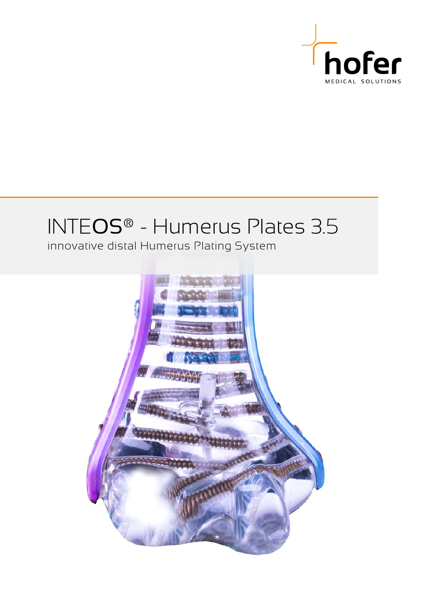

# INTEOS® - Humerus Plates 3.5

innovative distal Humerus Plating System

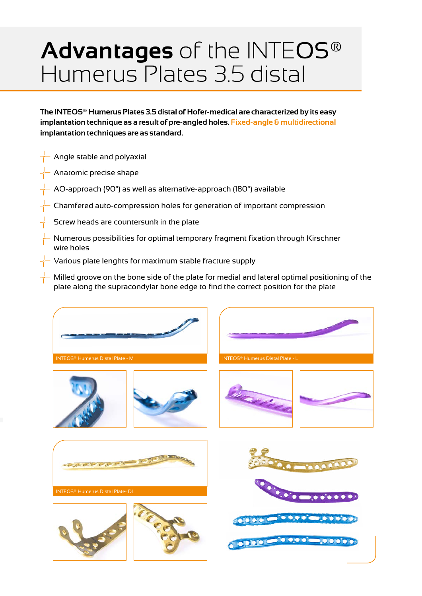# **Advantages** of the INTEOS® Humerus Plates 3.5 distal

**The INTEOS® Humerus Plates 3.5 distal of Hofer-medical are characterized by its easy implantation technique as a result of pre-angled holes. Fixed-angle & multidirectional implantation techniques are as standard.**

- Angle stable and polyaxial
- Anatomic precise shape
- AO-approach (90°) as well as alternative-approach (180°) available
- Chamfered auto-compression holes for generation of important compression
- Screw heads are countersunk in the plate
- Numerous possibilities for optimal temporary fragment fixation through Kirschner wire holes
- Various plate lenghts for maximum stable fracture supply
- Milled groove on the bone side of the plate for medial and lateral optimal positioning of the plate along the supracondylar bone edge to find the correct position for the plate

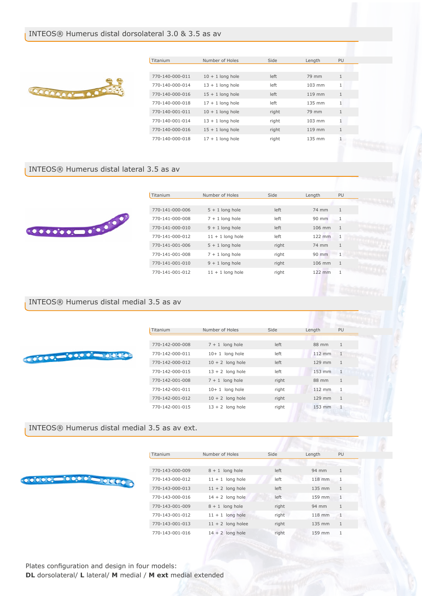### INTEOS® Humerus distal dorsolateral 3.0 & 3.5 as av



| Titanium        | Number of Holes    | Side  | Length   | PU           |
|-----------------|--------------------|-------|----------|--------------|
|                 |                    |       |          |              |
| 770-140-000-011 | $10 + 1$ long hole | left  | 79 mm    | 1            |
| 770-140-000-014 | $13 + 1$ long hole | left  | $103$ mm | 1            |
| 770-140-000-016 | $15 + 1$ long hole | left  | 119 mm   | 1            |
| 770-140-000-018 | $17 + 1$ long hole | left  | 135 mm   | 1            |
| 770-140-001-011 | $10 + 1$ long hole | right | 79 mm    | $\mathbf{1}$ |
| 770-140-001-014 | $13 + 1$ long hole | right | $103$ mm | $\mathbf{1}$ |
| 770-140-000-016 | $15 + 1$ long hole | right | 119 mm   | 1            |
| 770-140-000-018 | $17 + 1$ long hole | right | 135 mm   | 1            |

#### INTEOS® Humerus distal lateral 3.5 as av



| Titanium        | Number of Holes    | Side  | Length   | PU           |
|-----------------|--------------------|-------|----------|--------------|
|                 |                    |       |          |              |
| 770-141-000-006 | $5 + 1$ long hole  | left  | 74 mm    | $\mathbf{1}$ |
| 770-141-000-008 | $7 + 1$ long hole  | left  | $90$ mm  | 1            |
| 770-141-000-010 | $9 + 1$ long hole  | left  | $106$ mm | $\mathbf{1}$ |
| 770-141-000-012 | $11 + 1$ long hole | left  | $122$ mm | $\mathbf{1}$ |
| 770-141-001-006 | $5 + 1$ long hole  | right | 74 mm    | $\mathbf{1}$ |
| 770-141-001-008 | $7 + 1$ long hole  | right | $90$ mm  | 1            |
| 770-141-001-010 | $9 + 1$ long hole  | right | $106$ mm | $\mathbf{1}$ |
| 770-141-001-012 | $11 + 1$ long hole | right | 122 mm   |              |
|                 |                    |       |          |              |

## INTEOS® Humerus distal medial 3.5 as av

| Titanium        | Number of Holes    | Side  | Length   | PU           |
|-----------------|--------------------|-------|----------|--------------|
|                 |                    |       |          |              |
| 770-142-000-008 | $7 + 1$ long hole  | left  | 88 mm    | $\mathbf{1}$ |
| 770-142-000-011 | $10+1$ long hole   | left  | $112$ mm | $\mathbf{1}$ |
| 770-142-000-012 | $10 + 2$ long hole | left  | 129 mm   | $\mathbf{1}$ |
| 770-142-000-015 | $13 + 2$ long hole | left  | 153 mm   | $\mathbf{1}$ |
| 770-142-001-008 | $7 + 1$ long hole  | right | 88 mm    | $\mathbf{1}$ |
| 770-142-001-011 | $10+1$ long hole   | right | 112 mm   | $\mathbf{1}$ |
| 770-142-001-012 | $10 + 2$ long hole | right | 129 mm   | $\mathbf{1}$ |
| 770-142-001-015 | $13 + 2$ long hole | right | 153 mm   | 1            |

### INTEOS® Humerus distal medial 3.5 as av ext.

| Titanium        | Number of Holes     | Side  | Length | PU           |
|-----------------|---------------------|-------|--------|--------------|
|                 |                     |       |        |              |
| 770-143-000-009 | $8 + 1$ long hole   | left  | 94 mm  | $\mathbf{1}$ |
| 770-143-000-012 | $11 + 1$ long hole  | left  | 118 mm | $\mathbf{1}$ |
| 770-143-000-013 | $11 + 2$ long hole  | left  | 135 mm | $\mathbf{1}$ |
| 770-143-000-016 | $14 + 2$ long hole  | left  | 159 mm | 1            |
| 770-143-001-009 | $8 + 1$ long hole   | right | 94 mm  | $\mathbf{1}$ |
| 770-143-001-012 | $11 + 1$ long hole  | right | 118 mm | $\mathbf{1}$ |
| 770-143-001-013 | $11 + 2$ long holee | right | 135 mm | $\mathbf{1}$ |
| 770-143-001-016 | $14 + 2$ long hole  | right | 159 mm | $\mathbf{1}$ |
|                 |                     |       |        |              |

Plates configuration and design in four models: **DL** dorsolateral/ **L** lateral/ **M** medial / **M ext** medial extended